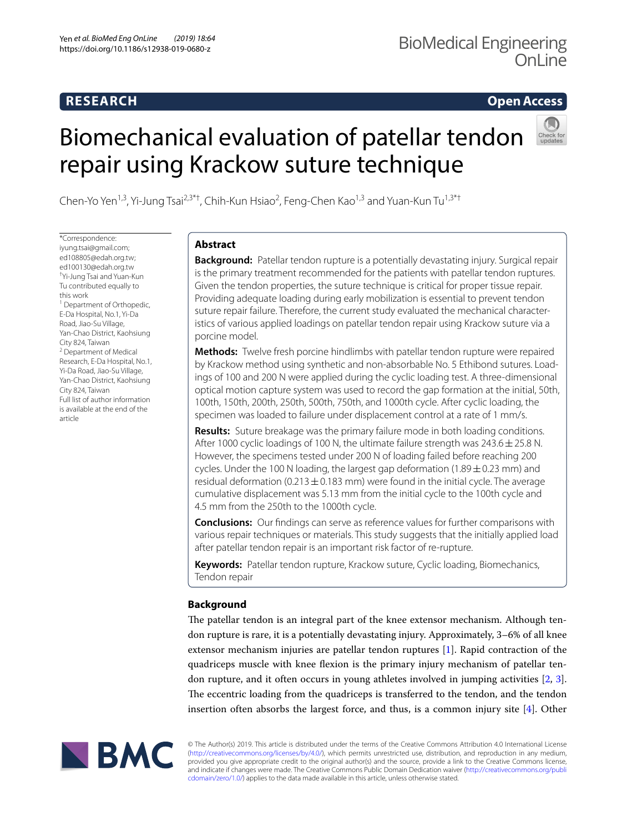# **RESEARCH**

# **Open Access**

# Biomechanical evaluation of patellar tendon repair using Krackow suture technique



Chen-Yo Yen<sup>1,3</sup>, Yi-Jung Tsai<sup>2,3\*†</sup>, Chih-Kun Hsiao<sup>2</sup>, Feng-Chen Kao<sup>1,3</sup> and Yuan-Kun Tu<sup>1,3\*†</sup>

\*Correspondence: iyung.tsai@gmail.com; ed108805@edah.org.tw; ed100130@edah.org.tw † Yi-Jung Tsai and Yuan-Kun Tu contributed equally to this work <sup>1</sup> Department of Orthopedic, E-Da Hospital, No.1, Yi‑Da Road, Jiao‑Su Village, Yan‑Chao District, Kaohsiung City 824, Taiwan 2 Department of Medical Research, E-Da Hospital, No.1, Yi‑Da Road, Jiao‑Su Village, Yan‑Chao District, Kaohsiung City 824, Taiwan Full list of author information is available at the end of the article

# **Abstract**

**Background:** Patellar tendon rupture is a potentially devastating injury. Surgical repair is the primary treatment recommended for the patients with patellar tendon ruptures. Given the tendon properties, the suture technique is critical for proper tissue repair. Providing adequate loading during early mobilization is essential to prevent tendon suture repair failure. Therefore, the current study evaluated the mechanical characteristics of various applied loadings on patellar tendon repair using Krackow suture via a porcine model.

**Methods:** Twelve fresh porcine hindlimbs with patellar tendon rupture were repaired by Krackow method using synthetic and non-absorbable No. 5 Ethibond sutures. Load‑ ings of 100 and 200 N were applied during the cyclic loading test. A three-dimensional optical motion capture system was used to record the gap formation at the initial, 50th, 100th, 150th, 200th, 250th, 500th, 750th, and 1000th cycle. After cyclic loading, the specimen was loaded to failure under displacement control at a rate of 1 mm/s.

**Results:** Suture breakage was the primary failure mode in both loading conditions. After 1000 cyclic loadings of 100 N, the ultimate failure strength was  $243.6 \pm 25.8$  N. However, the specimens tested under 200 N of loading failed before reaching 200 cycles. Under the 100 N loading, the largest gap deformation (1.89 $\pm$ 0.23 mm) and residual deformation (0.213 $\pm$ 0.183 mm) were found in the initial cycle. The average cumulative displacement was 5.13 mm from the initial cycle to the 100th cycle and 4.5 mm from the 250th to the 1000th cycle.

**Conclusions:** Our findings can serve as reference values for further comparisons with various repair techniques or materials. This study suggests that the initially applied load after patellar tendon repair is an important risk factor of re-rupture.

**Keywords:** Patellar tendon rupture, Krackow suture, Cyclic loading, Biomechanics, Tendon repair

# **Background**

The patellar tendon is an integral part of the knee extensor mechanism. Although tendon rupture is rare, it is a potentially devastating injury. Approximately, 3–6% of all knee extensor mechanism injuries are patellar tendon ruptures [[1\]](#page-7-0). Rapid contraction of the quadriceps muscle with knee fexion is the primary injury mechanism of patellar tendon rupture, and it often occurs in young athletes involved in jumping activities [[2,](#page-7-1) [3](#page-7-2)]. The eccentric loading from the quadriceps is transferred to the tendon, and the tendon insertion often absorbs the largest force, and thus, is a common injury site  $[4]$  $[4]$ . Other



© The Author(s) 2019. This article is distributed under the terms of the Creative Commons Attribution 4.0 International License [\(http://creativecommons.org/licenses/by/4.0/](http://creativecommons.org/licenses/by/4.0/)), which permits unrestricted use, distribution, and reproduction in any medium, provided you give appropriate credit to the original author(s) and the source, provide a link to the Creative Commons license, and indicate if changes were made. The Creative Commons Public Domain Dedication waiver ([http://creativecommons.org/publi](http://creativecommons.org/publicdomain/zero/1.0/) [cdomain/zero/1.0/\)](http://creativecommons.org/publicdomain/zero/1.0/) applies to the data made available in this article, unless otherwise stated.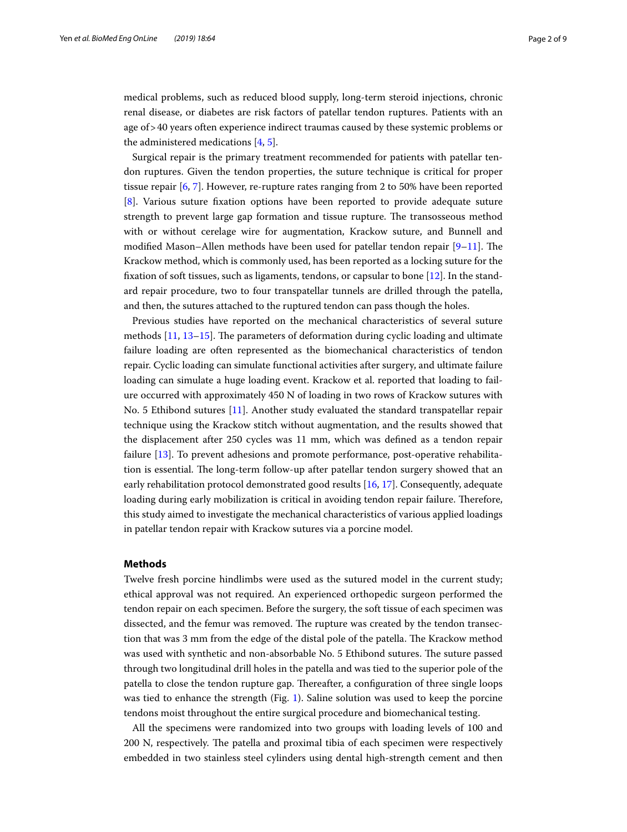medical problems, such as reduced blood supply, long-term steroid injections, chronic renal disease, or diabetes are risk factors of patellar tendon ruptures. Patients with an age of>40 years often experience indirect traumas caused by these systemic problems or the administered medications [\[4](#page-7-3), [5\]](#page-7-4).

Surgical repair is the primary treatment recommended for patients with patellar tendon ruptures. Given the tendon properties, the suture technique is critical for proper tissue repair [[6](#page-7-5), [7](#page-7-6)]. However, re-rupture rates ranging from 2 to 50% have been reported [[8\]](#page-7-7). Various suture fxation options have been reported to provide adequate suture strength to prevent large gap formation and tissue rupture. The transosseous method with or without cerelage wire for augmentation, Krackow suture, and Bunnell and modified Mason–Allen methods have been used for patellar tendon repair  $[9-11]$  $[9-11]$  $[9-11]$ . The Krackow method, which is commonly used, has been reported as a locking suture for the fxation of soft tissues, such as ligaments, tendons, or capsular to bone [\[12\]](#page-7-10). In the standard repair procedure, two to four transpatellar tunnels are drilled through the patella, and then, the sutures attached to the ruptured tendon can pass though the holes.

Previous studies have reported on the mechanical characteristics of several suture methods  $[11, 13-15]$  $[11, 13-15]$  $[11, 13-15]$  $[11, 13-15]$ . The parameters of deformation during cyclic loading and ultimate failure loading are often represented as the biomechanical characteristics of tendon repair. Cyclic loading can simulate functional activities after surgery, and ultimate failure loading can simulate a huge loading event. Krackow et al. reported that loading to failure occurred with approximately 450 N of loading in two rows of Krackow sutures with No. 5 Ethibond sutures [\[11](#page-7-9)]. Another study evaluated the standard transpatellar repair technique using the Krackow stitch without augmentation, and the results showed that the displacement after 250 cycles was 11 mm, which was defned as a tendon repair failure [[13\]](#page-7-11). To prevent adhesions and promote performance, post-operative rehabilitation is essential. The long-term follow-up after patellar tendon surgery showed that an early rehabilitation protocol demonstrated good results [\[16](#page-7-13), [17\]](#page-7-14). Consequently, adequate loading during early mobilization is critical in avoiding tendon repair failure. Therefore, this study aimed to investigate the mechanical characteristics of various applied loadings in patellar tendon repair with Krackow sutures via a porcine model.

# **Methods**

Twelve fresh porcine hindlimbs were used as the sutured model in the current study; ethical approval was not required. An experienced orthopedic surgeon performed the tendon repair on each specimen. Before the surgery, the soft tissue of each specimen was dissected, and the femur was removed. The rupture was created by the tendon transection that was 3 mm from the edge of the distal pole of the patella. The Krackow method was used with synthetic and non-absorbable No. 5 Ethibond sutures. The suture passed through two longitudinal drill holes in the patella and was tied to the superior pole of the patella to close the tendon rupture gap. Thereafter, a configuration of three single loops was tied to enhance the strength (Fig. [1\)](#page-2-0). Saline solution was used to keep the porcine tendons moist throughout the entire surgical procedure and biomechanical testing.

All the specimens were randomized into two groups with loading levels of 100 and 200 N, respectively. The patella and proximal tibia of each specimen were respectively embedded in two stainless steel cylinders using dental high-strength cement and then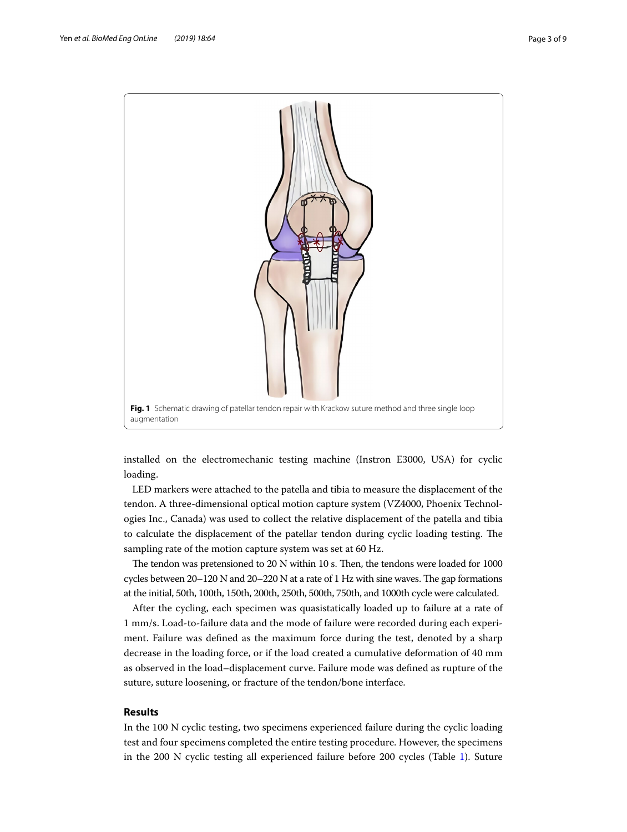

<span id="page-2-0"></span>installed on the electromechanic testing machine (Instron E3000, USA) for cyclic loading.

LED markers were attached to the patella and tibia to measure the displacement of the tendon. A three-dimensional optical motion capture system (VZ4000, Phoenix Technologies Inc., Canada) was used to collect the relative displacement of the patella and tibia to calculate the displacement of the patellar tendon during cyclic loading testing. The sampling rate of the motion capture system was set at 60 Hz.

The tendon was pretensioned to 20 N within 10 s. Then, the tendons were loaded for  $1000$ cycles between  $20-120$  N and  $20-220$  N at a rate of 1 Hz with sine waves. The gap formations at the initial, 50th, 100th, 150th, 200th, 250th, 500th, 750th, and 1000th cycle were calculated.

After the cycling, each specimen was quasistatically loaded up to failure at a rate of 1 mm/s. Load-to-failure data and the mode of failure were recorded during each experiment. Failure was defned as the maximum force during the test, denoted by a sharp decrease in the loading force, or if the load created a cumulative deformation of 40 mm as observed in the load–displacement curve. Failure mode was defned as rupture of the suture, suture loosening, or fracture of the tendon/bone interface.

# **Results**

In the 100 N cyclic testing, two specimens experienced failure during the cyclic loading test and four specimens completed the entire testing procedure. However, the specimens in the 200 N cyclic testing all experienced failure before 200 cycles (Table [1\)](#page-3-0). Suture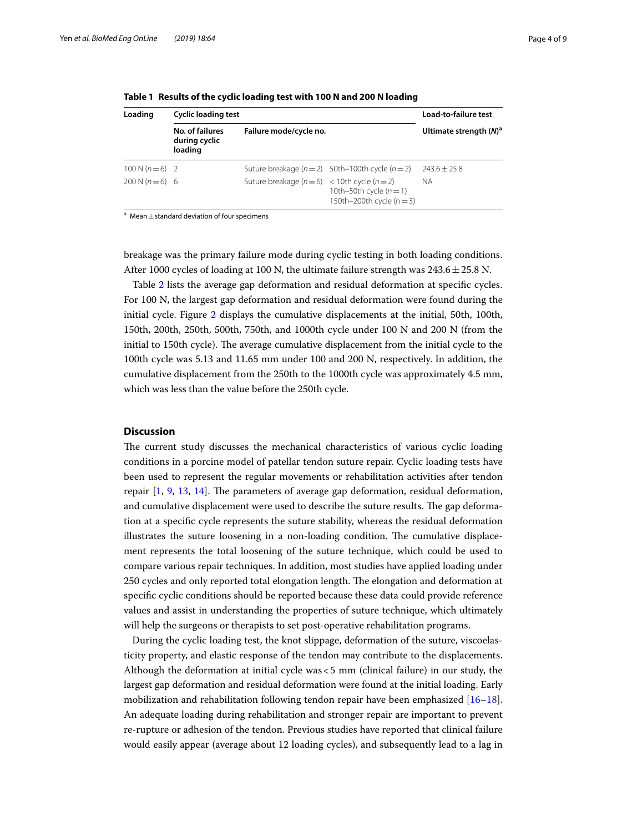| Loading         | <b>Cyclic loading test</b>                  |                                              |                                                          | Load-to-failure test      |
|-----------------|---------------------------------------------|----------------------------------------------|----------------------------------------------------------|---------------------------|
|                 | No. of failures<br>during cyclic<br>loading | Failure mode/cycle no.                       |                                                          | Ultimate strength $(N)^a$ |
| $100 N (n=6)$ 2 |                                             |                                              | Suture breakage $(n=2)$ 50th-100th cycle $(n=2)$         | $243.6 \pm 25.8$          |
| $200 N (n=6)$ 6 |                                             | Suture breakage $(n=6)$ < 10th cycle $(n=2)$ | 10th-50th cycle $(n=1)$<br>150th-200th cycle ( $n = 3$ ) | NА                        |

<span id="page-3-0"></span>**Table 1 Results of the cyclic loading test with 100 N and 200 N loading**

 $\overline{a}$  Mean  $\pm$  standard deviation of four specimens

breakage was the primary failure mode during cyclic testing in both loading conditions. After 1000 cycles of loading at 100 N, the ultimate failure strength was  $243.6 \pm 25.8$  N.

Table [2](#page-4-0) lists the average gap deformation and residual deformation at specifc cycles. For 100 N, the largest gap deformation and residual deformation were found during the initial cycle. Figure [2](#page-5-0) displays the cumulative displacements at the initial, 50th, 100th, 150th, 200th, 250th, 500th, 750th, and 1000th cycle under 100 N and 200 N (from the initial to 150th cycle). The average cumulative displacement from the initial cycle to the 100th cycle was 5.13 and 11.65 mm under 100 and 200 N, respectively. In addition, the cumulative displacement from the 250th to the 1000th cycle was approximately 4.5 mm, which was less than the value before the 250th cycle.

## **Discussion**

The current study discusses the mechanical characteristics of various cyclic loading conditions in a porcine model of patellar tendon suture repair. Cyclic loading tests have been used to represent the regular movements or rehabilitation activities after tendon repair  $[1, 9, 13, 14]$  $[1, 9, 13, 14]$  $[1, 9, 13, 14]$  $[1, 9, 13, 14]$  $[1, 9, 13, 14]$  $[1, 9, 13, 14]$  $[1, 9, 13, 14]$  $[1, 9, 13, 14]$ . The parameters of average gap deformation, residual deformation, and cumulative displacement were used to describe the suture results. The gap deformation at a specifc cycle represents the suture stability, whereas the residual deformation illustrates the suture loosening in a non-loading condition. The cumulative displacement represents the total loosening of the suture technique, which could be used to compare various repair techniques. In addition, most studies have applied loading under 250 cycles and only reported total elongation length. The elongation and deformation at specifc cyclic conditions should be reported because these data could provide reference values and assist in understanding the properties of suture technique, which ultimately will help the surgeons or therapists to set post-operative rehabilitation programs.

During the cyclic loading test, the knot slippage, deformation of the suture, viscoelasticity property, and elastic response of the tendon may contribute to the displacements. Although the deformation at initial cycle was<5 mm (clinical failure) in our study, the largest gap deformation and residual deformation were found at the initial loading. Early mobilization and rehabilitation following tendon repair have been emphasized [[16](#page-7-13)[–18](#page-7-16)]. An adequate loading during rehabilitation and stronger repair are important to prevent re-rupture or adhesion of the tendon. Previous studies have reported that clinical failure would easily appear (average about 12 loading cycles), and subsequently lead to a lag in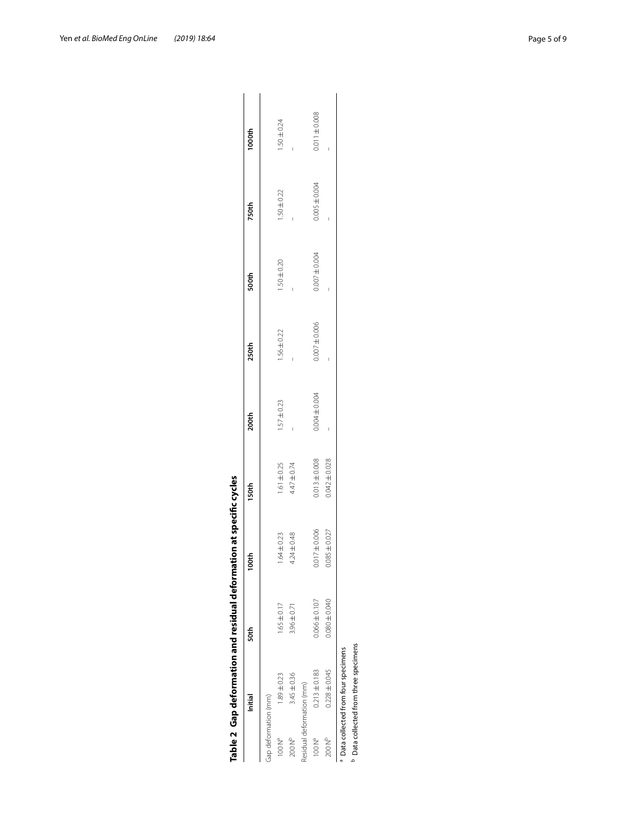|                    | Table 2 Gap deformation and residual deformation at specific cycles |                   |                   |                   |                   |                   |                   |                   |                 |
|--------------------|---------------------------------------------------------------------|-------------------|-------------------|-------------------|-------------------|-------------------|-------------------|-------------------|-----------------|
|                    | lnitial                                                             | នី                | 100th             | 15 <sub>0th</sub> | 200 <sub>th</sub> | 250th             | 500th             | 750th             | 1000th          |
|                    | Gap deformation (mm)                                                |                   |                   |                   |                   |                   |                   |                   |                 |
| 100 N <sup>a</sup> | $1.89 \pm 0.23$                                                     | $1.65 \pm 0.17$   | $64 \pm 0.23$     | $1.61 \pm 0.25$   | $1.57 \pm 0.23$   | $1.56 \pm 0.22$   | $1.50 \pm 0.20$   | $1.50 \pm 0.22$   | $1.50 \pm 0.24$ |
| 200 N <sup>b</sup> | $3.45 \pm 0.36$                                                     | $3.96 \pm 0.71$   | $24 \pm 0.48$     | $4.47 \pm 0.74$   |                   |                   |                   |                   |                 |
|                    | Residual deformation (mm)                                           |                   |                   |                   |                   |                   |                   |                   |                 |
| 100N <sup>a</sup>  | $0.213 \pm 0.183$                                                   | $0.066 \pm 0.107$ | $0.017 + 0.006$   | $0.013 + 0.008$   | $0.004 \pm 0.004$ | $0.007 \pm 0.006$ | $0.007 \pm 0.004$ | $0.005 \pm 0.004$ | $0.011 + 0.008$ |
| 200N <sup>b</sup>  | $0.228 \pm 0.045$                                                   | $0.080 \pm 0.040$ | $0.085 \pm 0.027$ | $0.042 \pm 0.028$ |                   |                   |                   |                   | I               |
|                    | Data collected from four specimens                                  |                   |                   |                   |                   |                   |                   |                   |                 |
|                    | Data collected from three specimens                                 |                   |                   |                   |                   |                   |                   |                   |                 |

<span id="page-4-0"></span>

| l    |
|------|
|      |
|      |
|      |
|      |
|      |
|      |
|      |
|      |
|      |
|      |
|      |
|      |
|      |
|      |
|      |
| ֚֚֚֬ |
|      |
| l    |
|      |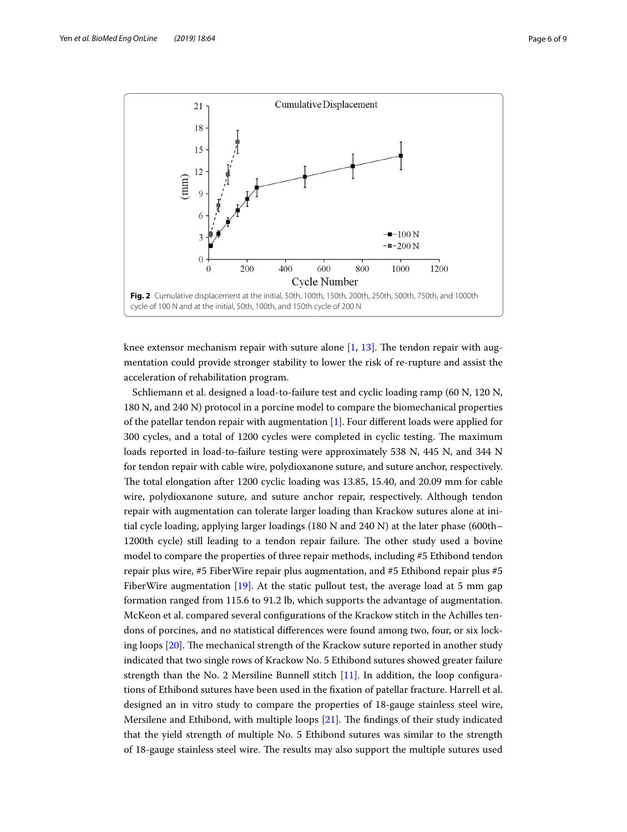

<span id="page-5-0"></span>knee extensor mechanism repair with suture alone  $[1, 13]$  $[1, 13]$  $[1, 13]$ . The tendon repair with augmentation could provide stronger stability to lower the risk of re-rupture and assist the acceleration of rehabilitation program.

Schliemann et al. designed a load-to-failure test and cyclic loading ramp (60 N, 120 N, 180 N, and 240 N) protocol in a porcine model to compare the biomechanical properties of the patellar tendon repair with augmentation [\[1\]](#page-7-0). Four diferent loads were applied for 300 cycles, and a total of 1200 cycles were completed in cyclic testing. The maximum loads reported in load-to-failure testing were approximately 538 N, 445 N, and 344 N for tendon repair with cable wire, polydioxanone suture, and suture anchor, respectively. The total elongation after 1200 cyclic loading was 13.85, 15.40, and 20.09 mm for cable wire, polydioxanone suture, and suture anchor repair, respectively. Although tendon repair with augmentation can tolerate larger loading than Krackow sutures alone at initial cycle loading, applying larger loadings (180 N and 240 N) at the later phase (600th– 1200th cycle) still leading to a tendon repair failure. The other study used a bovine model to compare the properties of three repair methods, including #5 Ethibond tendon repair plus wire, #5 FiberWire repair plus augmentation, and #5 Ethibond repair plus #5 FiberWire augmentation [[19\]](#page-8-0). At the static pullout test, the average load at 5 mm gap formation ranged from 115.6 to 91.2 lb, which supports the advantage of augmentation. McKeon et al. compared several confgurations of the Krackow stitch in the Achilles tendons of porcines, and no statistical diferences were found among two, four, or six locking loops  $[20]$  $[20]$ . The mechanical strength of the Krackow suture reported in another study indicated that two single rows of Krackow No. 5 Ethibond sutures showed greater failure strength than the No. 2 Mersiline Bunnell stitch [[11](#page-7-9)]. In addition, the loop confgurations of Ethibond sutures have been used in the fxation of patellar fracture. Harrell et al. designed an in vitro study to compare the properties of 18-gauge stainless steel wire, Mersilene and Ethibond, with multiple loops  $[21]$  $[21]$ . The findings of their study indicated that the yield strength of multiple No. 5 Ethibond sutures was similar to the strength of 18-gauge stainless steel wire. The results may also support the multiple sutures used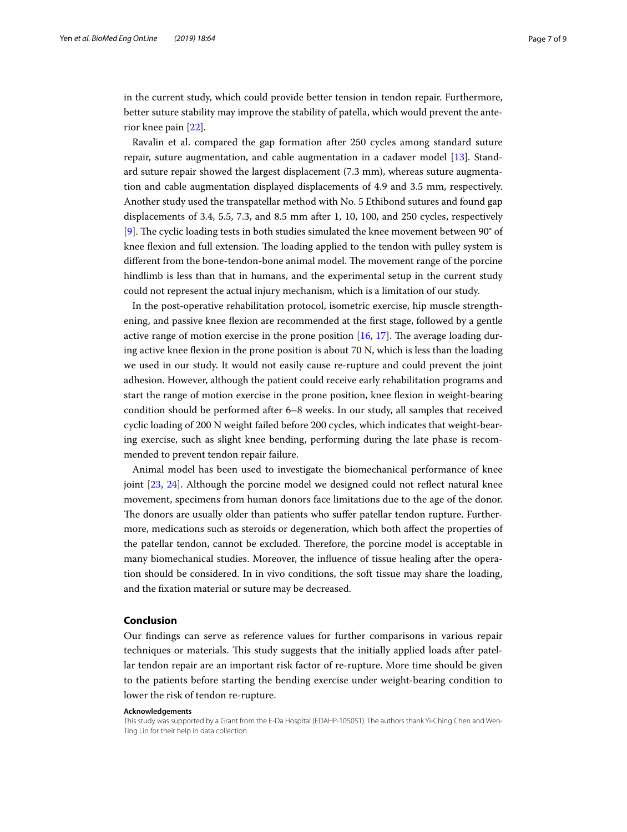in the current study, which could provide better tension in tendon repair. Furthermore, better suture stability may improve the stability of patella, which would prevent the anterior knee pain [\[22](#page-8-3)].

Ravalin et al. compared the gap formation after 250 cycles among standard suture repair, suture augmentation, and cable augmentation in a cadaver model [[13](#page-7-11)]. Standard suture repair showed the largest displacement (7.3 mm), whereas suture augmentation and cable augmentation displayed displacements of 4.9 and 3.5 mm, respectively. Another study used the transpatellar method with No. 5 Ethibond sutures and found gap displacements of 3.4, 5.5, 7.3, and 8.5 mm after 1, 10, 100, and 250 cycles, respectively [[9\]](#page-7-8). The cyclic loading tests in both studies simulated the knee movement between  $90^{\circ}$  of knee flexion and full extension. The loading applied to the tendon with pulley system is different from the bone-tendon-bone animal model. The movement range of the porcine hindlimb is less than that in humans, and the experimental setup in the current study could not represent the actual injury mechanism, which is a limitation of our study.

In the post-operative rehabilitation protocol, isometric exercise, hip muscle strengthening, and passive knee fexion are recommended at the frst stage, followed by a gentle active range of motion exercise in the prone position  $[16, 17]$  $[16, 17]$  $[16, 17]$ . The average loading during active knee fexion in the prone position is about 70 N, which is less than the loading we used in our study. It would not easily cause re-rupture and could prevent the joint adhesion. However, although the patient could receive early rehabilitation programs and start the range of motion exercise in the prone position, knee fexion in weight-bearing condition should be performed after 6–8 weeks. In our study, all samples that received cyclic loading of 200 N weight failed before 200 cycles, which indicates that weight-bearing exercise, such as slight knee bending, performing during the late phase is recommended to prevent tendon repair failure.

Animal model has been used to investigate the biomechanical performance of knee joint [\[23,](#page-8-4) [24](#page-8-5)]. Although the porcine model we designed could not refect natural knee movement, specimens from human donors face limitations due to the age of the donor. The donors are usually older than patients who suffer patellar tendon rupture. Furthermore, medications such as steroids or degeneration, which both afect the properties of the patellar tendon, cannot be excluded. Therefore, the porcine model is acceptable in many biomechanical studies. Moreover, the infuence of tissue healing after the operation should be considered. In in vivo conditions, the soft tissue may share the loading, and the fxation material or suture may be decreased.

## **Conclusion**

Our fndings can serve as reference values for further comparisons in various repair techniques or materials. Tis study suggests that the initially applied loads after patellar tendon repair are an important risk factor of re-rupture. More time should be given to the patients before starting the bending exercise under weight-bearing condition to lower the risk of tendon re-rupture.

#### **Acknowledgements**

This study was supported by a Grant from the E-Da Hospital (EDAHP-105051). The authors thank Yi-Ching Chen and Wen-Ting Lin for their help in data collection.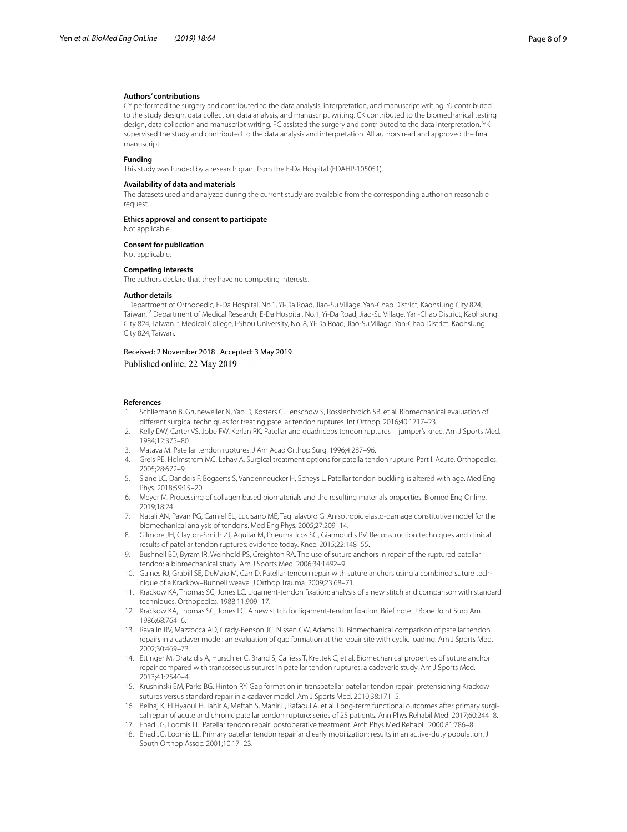### **Authors' contributions**

CY performed the surgery and contributed to the data analysis, interpretation, and manuscript writing. YJ contributed to the study design, data collection, data analysis, and manuscript writing. CK contributed to the biomechanical testing design, data collection and manuscript writing. FC assisted the surgery and contributed to the data interpretation. YK supervised the study and contributed to the data analysis and interpretation. All authors read and approved the fnal manuscript.

#### **Funding**

This study was funded by a research grant from the E-Da Hospital (EDAHP-105051).

#### **Availability of data and materials**

The datasets used and analyzed during the current study are available from the corresponding author on reasonable request.

#### **Ethics approval and consent to participate**

Not applicable.

#### **Consent for publication**

Not applicable.

#### **Competing interests**

The authors declare that they have no competing interests.

#### **Author details**

<sup>1</sup> Department of Orthopedic, E-Da Hospital, No.1, Yi‑Da Road, Jiao‑Su Village, Yan‑Chao District, Kaohsiung City 824, Taiwan. <sup>2</sup> Department of Medical Research, E-Da Hospital, No.1, Yi-Da Road, Jiao-Su Village, Yan-Chao District, Kaohsiung City 824, Taiwan. <sup>3</sup> Medical College, I-Shou University, No. 8, Yi‑Da Road, Jiao‑Su Village, Yan‑Chao District, Kaohsiung City 824, Taiwan.

## Received: 2 November 2018 Accepted: 3 May 2019 Published online: 22 May 2019

#### **References**

- <span id="page-7-0"></span>1. Schliemann B, Gruneweller N, Yao D, Kosters C, Lenschow S, Rosslenbroich SB, et al. Biomechanical evaluation of diferent surgical techniques for treating patellar tendon ruptures. Int Orthop. 2016;40:1717–23.
- <span id="page-7-1"></span>2. Kelly DW, Carter VS, Jobe FW, Kerlan RK. Patellar and quadriceps tendon ruptures—jumper's knee. Am J Sports Med. 1984;12:375–80.
- <span id="page-7-2"></span>3. Matava M. Patellar tendon ruptures. J Am Acad Orthop Surg. 1996;4:287–96.
- <span id="page-7-3"></span>4. Greis PE, Holmstrom MC, Lahav A. Surgical treatment options for patella tendon rupture. Part I: Acute. Orthopedics. 2005;28:672–9.
- <span id="page-7-4"></span>5. Slane LC, Dandois F, Bogaerts S, Vandenneucker H, Scheys L. Patellar tendon buckling is altered with age. Med Eng Phys. 2018;59:15–20.
- <span id="page-7-5"></span>6. Meyer M. Processing of collagen based biomaterials and the resulting materials properties. Biomed Eng Online. 2019;18:24.
- <span id="page-7-6"></span>7. Natali AN, Pavan PG, Carniel EL, Lucisano ME, Taglialavoro G. Anisotropic elasto-damage constitutive model for the biomechanical analysis of tendons. Med Eng Phys. 2005;27:209–14.
- <span id="page-7-7"></span>8. Gilmore JH, Clayton-Smith ZJ, Aguilar M, Pneumaticos SG, Giannoudis PV. Reconstruction techniques and clinical results of patellar tendon ruptures: evidence today. Knee. 2015;22:148–55.
- <span id="page-7-8"></span>9. Bushnell BD, Byram IR, Weinhold PS, Creighton RA. The use of suture anchors in repair of the ruptured patellar tendon: a biomechanical study. Am J Sports Med. 2006;34:1492–9.
- 10. Gaines RJ, Grabill SE, DeMaio M, Carr D. Patellar tendon repair with suture anchors using a combined suture technique of a Krackow–Bunnell weave. J Orthop Trauma. 2009;23:68–71.
- <span id="page-7-9"></span>11. Krackow KA, Thomas SC, Jones LC. Ligament-tendon fxation: analysis of a new stitch and comparison with standard techniques. Orthopedics. 1988;11:909–17.
- <span id="page-7-10"></span>12. Krackow KA, Thomas SC, Jones LC. A new stitch for ligament-tendon fxation. Brief note. J Bone Joint Surg Am. 1986;68:764–6.
- <span id="page-7-11"></span>13. Ravalin RV, Mazzocca AD, Grady-Benson JC, Nissen CW, Adams DJ. Biomechanical comparison of patellar tendon repairs in a cadaver model: an evaluation of gap formation at the repair site with cyclic loading. Am J Sports Med. 2002;30:469–73.
- <span id="page-7-15"></span>14. Ettinger M, Dratzidis A, Hurschler C, Brand S, Calliess T, Krettek C, et al. Biomechanical properties of suture anchor repair compared with transosseous sutures in patellar tendon ruptures: a cadaveric study. Am J Sports Med. 2013;41:2540–4.
- <span id="page-7-12"></span>15. Krushinski EM, Parks BG, Hinton RY. Gap formation in transpatellar patellar tendon repair: pretensioning Krackow sutures versus standard repair in a cadaver model. Am J Sports Med. 2010;38:171–5.
- <span id="page-7-13"></span>16. Belhaj K, El Hyaoui H, Tahir A, Meftah S, Mahir L, Rafaoui A, et al. Long-term functional outcomes after primary surgical repair of acute and chronic patellar tendon rupture: series of 25 patients. Ann Phys Rehabil Med. 2017;60:244–8.
- <span id="page-7-14"></span>17. Enad JG, Loomis LL. Patellar tendon repair: postoperative treatment. Arch Phys Med Rehabil. 2000;81:786–8. 18. Enad JG, Loomis LL. Primary patellar tendon repair and early mobilization: results in an active-duty population. J
- <span id="page-7-16"></span>South Orthop Assoc. 2001;10:17–23.